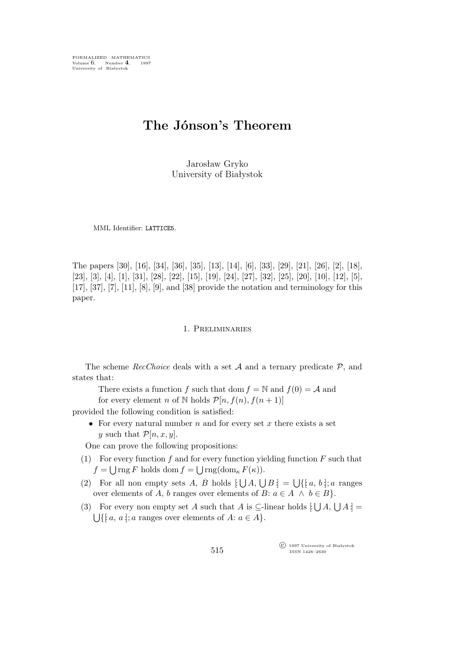FORMALIZED MATHEMATICS Volume 6, Number 4, 1997<br>University of Białystok

# **The Jónson's Theorem**

Jarosław Gryko University of Białystok

MML Identifier: LATTICE5.

The papers [30], [16], [34], [36], [35], [13], [14], [6], [33], [29], [21], [26], [2], [18], [23], [3], [4], [1], [31], [28], [22], [15], [19], [24], [27], [32], [25], [20], [10], [12], [5], [17], [37], [7], [11], [8], [9], and [38] provide the notation and terminology for this paper.

## 1. Preliminaries

The scheme *RecChoice* deals with a set *A* and a ternary predicate *P*, and states that:

There exists a function f such that dom  $f = N$  and  $f(0) = A$  and

for every element n of N holds  $\mathcal{P}[n, f(n), f(n+1)]$ 

provided the following condition is satisfied:

• For every natural number  $n$  and for every set  $x$  there exists a set y such that  $\mathcal{P}[n,x,y]$ .

One can prove the following propositions:

- (1) For every function f and for every function yielding function  $F$  such that  $f = \bigcup \text{rng } F$  holds dom  $f = \bigcup \text{rng}(\text{dom}_{\kappa} F(\kappa)).$
- (2) For all non empty sets A, B holds  $\lfloor \bigcup A, \bigcup B \rfloor = \bigcup \{ \lfloor a, b \rfloor; a \text{ ranges}$ over elements of A, b ranges over elements of B:  $a \in A \land b \in B$ .
- (3) For every non empty set A such that A is  $\subseteq$ -linear holds  $[\bigcup A, \bigcup A] =$  $\bigcup \{ [a, a] ; a \text{ ranges over elements of } A : a \in A \}.$

°c 1997 University of Białystok ISSN 1426–2630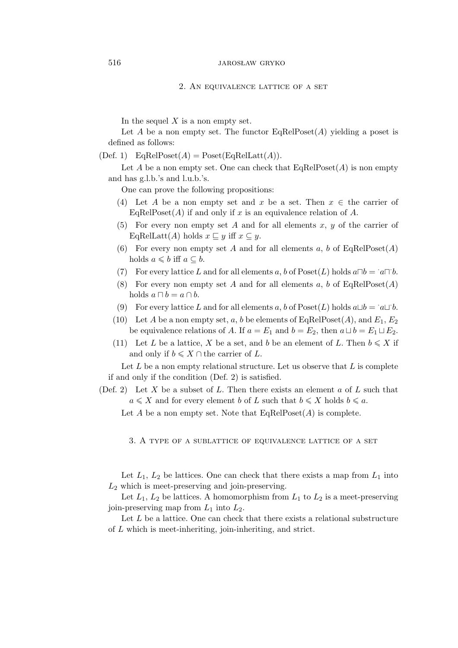#### 2. An equivalence lattice of a set

In the sequel  $X$  is a non empty set.

Let A be a non empty set. The functor  $\text{EaRelPoset}(A)$  yielding a poset is defined as follows:

 $(Def. 1)$  EqRelPoset $(A)$  = Poset $(EqRelLatt(A)).$ 

Let A be a non empty set. One can check that  $EqRelPoset(A)$  is non empty and has g.l.b.'s and l.u.b.'s.

One can prove the following propositions:

- (4) Let A be a non empty set and x be a set. Then  $x \in \mathbb{R}$  the carrier of EqRelPoset(A) if and only if x is an equivalence relation of A.
- (5) For every non empty set A and for all elements  $x, y$  of the carrier of EqRelLatt $(A)$  holds  $x \subseteq y$  iff  $x \subseteq y$ .
- (6) For every non empty set A and for all elements a, b of  $EqRelPoset(A)$ holds  $a \leq b$  iff  $a \subseteq b$ .
- (7) For every lattice L and for all elements a, b of Poset(L) holds  $a \Box b = a \Box b$ .
- (8) For every non empty set A and for all elements a, b of  $EqRelPoset(A)$ holds  $a \sqcap b = a \cap b$ .
- (9) For every lattice L and for all elements a, b of Poset(L) holds  $a \sqcup b = a \sqcup b$ .
- (10) Let A be a non empty set, a, b be elements of EqRelPoset(A), and  $E_1, E_2$ be equivalence relations of A. If  $a = E_1$  and  $b = E_2$ , then  $a \sqcup b = E_1 \sqcup E_2$ .
- (11) Let L be a lattice, X be a set, and b be an element of L. Then  $b \leq X$  if and only if  $b \leqslant X \cap$  the carrier of L.

Let  $L$  be a non empty relational structure. Let us observe that  $L$  is complete if and only if the condition (Def. 2) is satisfied.

(Def. 2) Let X be a subset of L. Then there exists an element  $a$  of L such that  $a \leqslant X$  and for every element b of L such that  $b \leqslant X$  holds  $b \leqslant a$ .

Let A be a non empty set. Note that  $EqRelPoset(A)$  is complete.

3. A type of a sublattice of equivalence lattice of a set

Let  $L_1$ ,  $L_2$  be lattices. One can check that there exists a map from  $L_1$  into  $L_2$  which is meet-preserving and join-preserving.

Let  $L_1$ ,  $L_2$  be lattices. A homomorphism from  $L_1$  to  $L_2$  is a meet-preserving join-preserving map from  $L_1$  into  $L_2$ .

Let  $L$  be a lattice. One can check that there exists a relational substructure of L which is meet-inheriting, join-inheriting, and strict.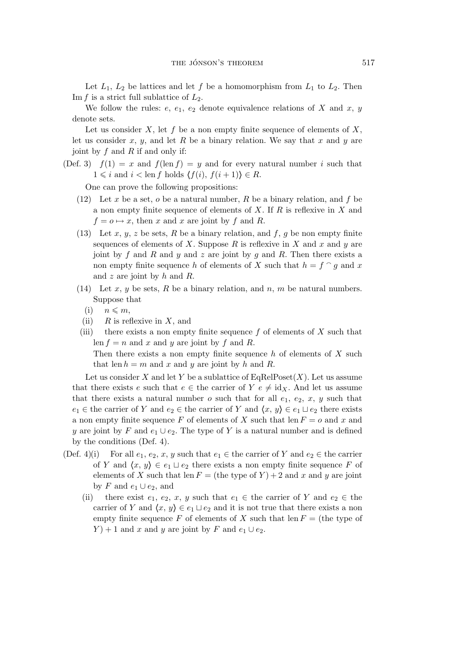Let  $L_1$ ,  $L_2$  be lattices and let f be a homomorphism from  $L_1$  to  $L_2$ . Then Im f is a strict full sublattice of  $L_2$ .

We follow the rules:  $e, e_1, e_2$  denote equivalence relations of X and x, y denote sets.

Let us consider  $X$ , let  $f$  be a non empty finite sequence of elements of  $X$ , let us consider x, y, and let R be a binary relation. We say that x and y are joint by  $f$  and  $R$  if and only if:

(Def. 3)  $f(1) = x$  and  $f(\text{len } f) = y$  and for every natural number i such that  $1 \leq i$  and  $i < \text{len } f$  holds  $\langle f(i), f(i+1) \rangle \in R$ .

One can prove the following propositions:

- (12) Let x be a set, o be a natural number, R be a binary relation, and f be a non empty finite sequence of elements of  $X$ . If  $R$  is reflexive in  $X$  and  $f = o \mapsto x$ , then x and x are joint by f and R.
- (13) Let  $x, y, z$  be sets,  $R$  be a binary relation, and  $f, g$  be non empty finite sequences of elements of X. Suppose R is reflexive in X and x and y are joint by f and R and y and z are joint by g and R. Then there exists a non empty finite sequence h of elements of X such that  $h = f \circ g$  and x and  $z$  are joint by  $h$  and  $R$ .
- (14) Let x, y be sets, R be a binary relation, and n, m be natural numbers. Suppose that
	- $(i)$   $n \leqslant m$ ,
- (ii)  $R$  is reflexive in X, and
- (iii) there exists a non empty finite sequence  $f$  of elements of  $X$  such that len  $f = n$  and x and y are joint by f and R. Then there exists a non empty finite sequence h of elements of  $X$  such that len  $h = m$  and x and y are joint by h and R.

Let us consider X and let Y be a sublattice of  $EqRelPoset(X)$ . Let us assume that there exists e such that  $e \in$  the carrier of  $Y e \neq id_X$ . And let us assume that there exists a natural number o such that for all  $e_1, e_2, x, y$  such that  $e_1 \in \text{the carrier of } Y \text{ and } e_2 \in \text{the carrier of } Y \text{ and } \langle x, y \rangle \in e_1 \cup e_2 \text{ there exists }$ a non empty finite sequence F of elements of X such that len  $F = o$  and x and y are joint by F and  $e_1 \cup e_2$ . The type of Y is a natural number and is defined by the conditions (Def. 4).

- (Def. 4)(i) For all  $e_1, e_2, x, y$  such that  $e_1 \in$  the carrier of Y and  $e_2 \in$  the carrier of Y and  $\langle x, y \rangle \in e_1 \sqcup e_2$  there exists a non empty finite sequence F of elements of X such that len  $F =$  (the type of Y) + 2 and x and y are joint by F and  $e_1 \cup e_2$ , and
	- (ii) there exist  $e_1, e_2, x, y$  such that  $e_1 \in$  the carrier of Y and  $e_2 \in$  the carrier of Y and  $\langle x, y \rangle \in e_1 \sqcup e_2$  and it is not true that there exists a non empty finite sequence F of elements of X such that len  $F =$  (the type of  $Y$  + 1 and x and y are joint by F and  $e_1 \cup e_2$ .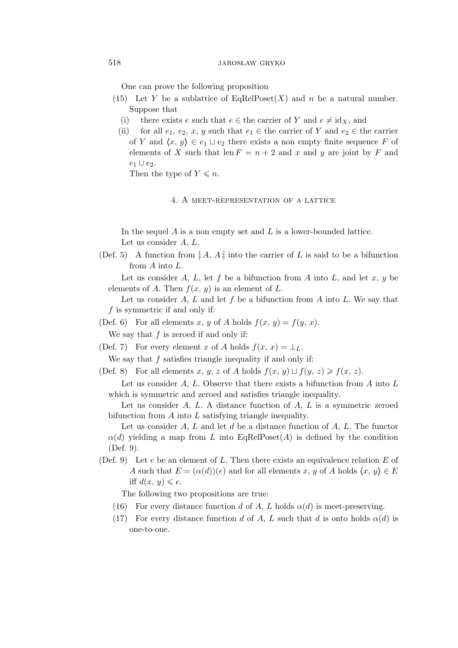One can prove the following proposition

- (15) Let Y be a sublattice of  $\text{EqRelPoset}(X)$  and n be a natural number. Suppose that
	- (i) there exists e such that  $e \in \text{the carrier of } Y$  and  $e \neq id_X$ , and
	- (ii) for all  $e_1, e_2, x, y$  such that  $e_1 \in$  the carrier of Y and  $e_2 \in$  the carrier of Y and  $\langle x, y \rangle \in e_1 \sqcup e_2$  there exists a non empty finite sequence F of elements of X such that len  $F = n + 2$  and x and y are joint by F and e<sup>1</sup> *∪* e2.

Then the type of  $Y \leq n$ .

4. A meet-representation of a lattice

In the sequel  $A$  is a non empty set and  $L$  is a lower-bounded lattice. Let us consider A, L.

(Def. 5) A function from [A, A ] into the carrier of L is said to be a bifunction from A into L.

Let us consider A, L, let f be a bifunction from A into L, and let x, y be elements of A. Then  $f(x, y)$  is an element of L.

Let us consider A, L and let f be a bifunction from A into L. We say that f is symmetric if and only if:

(Def. 6) For all elements x, y of A holds  $f(x, y) = f(y, x)$ .

We say that  $f$  is zeroed if and only if:

(Def. 7) For every element x of A holds  $f(x, x) = \perp_L$ .

We say that  $f$  satisfies triangle inequality if and only if:

(Def. 8) For all elements x, y, z of A holds  $f(x, y) \sqcup f(y, z) \geq f(x, z)$ .

Let us consider  $A, L$ . Observe that there exists a bifunction from  $A$  into  $L$ which is symmetric and zeroed and satisfies triangle inequality.

Let us consider  $A, L$ . A distance function of  $A, L$  is a symmetric zeroed bifunction from  $A$  into  $L$  satisfying triangle inequality.

Let us consider A, L and let d be a distance function of  $A, L$ . The functor  $\alpha(d)$  yielding a map from L into EqRelPoset(A) is defined by the condition (Def. 9).

(Def. 9) Let e be an element of L. Then there exists an equivalence relation E of A such that  $E = (\alpha(d))(e)$  and for all elements x, y of A holds  $\langle x, y \rangle \in E$ iff  $d(x, y) \leqslant e$ .

The following two propositions are true:

- (16) For every distance function d of A, L holds  $\alpha(d)$  is meet-preserving.
- (17) For every distance function d of A, L such that d is onto holds  $\alpha(d)$  is one-to-one.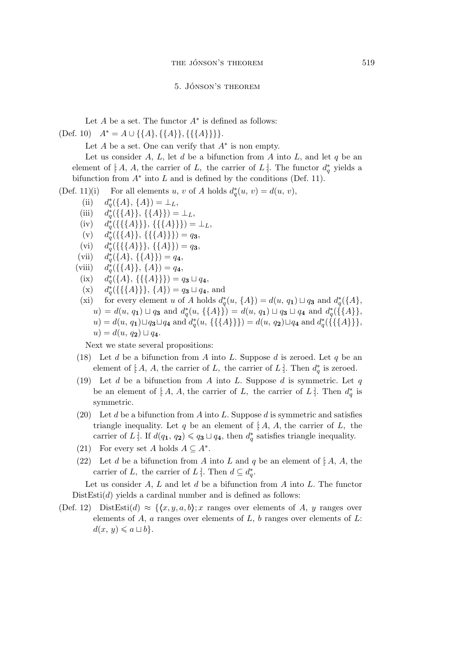#### 5. Jónson's theorem

Let  $A$  be a set. The functor  $A^*$  is defined as follows:

 $(\text{Def. } 10)$   $A^* = A \cup \{\{A\}, \{\{A\}\}, \{\{\{A\}\}\}\}.$ 

Let  $A$  be a set. One can verify that  $A^*$  is non empty.

Let us consider  $A, L$ , let  $d$  be a bifunction from  $A$  into  $L$ , and let  $q$  be an element of [ $A$ ,  $A$ , the carrier of  $L$ , the carrier of  $L$ ]. The functor  $d_q^*$  yields a bifunction from  $A^*$  into L and is defined by the conditions (Def. 11).

(Def. 11)(i) For all elements u, v of A holds  $d^*_q$ For all elements u, v of A holds  $d_q^*(u, v) = d(u, v),$ <br>
\*  $(f(A), f(A))$ 

(ii) 
$$
d_q^*(\{A\}, \{A\}) = \perp_L
$$
,

- $(iii)$ *∗*  $_{q}^{\ast}(\{\{A\}\}, \{\{A\}\}) = \perp_{L},$
- $(iv)$ *∗*  $_{q}^{\ast}(\{\{\{A\}\}\}\},\{\{\{A\}\}\})=\perp_{L},$
- $(v)$   $d_a^*$  $q^*({\{\{A\}\}}, {\{\{\{A\}\}\}) = q_3,$
- $(vi)$   $d_a^*$  $q^*({\{\{\{A\}\}\}\}, {\{\{A\}\}\}) = q_3,$
- $(vii)$   $d_a^*$  $q^*(\{A\}, \{\{A\}\}) = q_4,$
- $(viii)$ *∗*  $q^*_{q}(\{\{A\}\},\{A\})=q_4,$
- $(ix)$ *∗*  $q_q^*(\{A\}, \{\{\{A\}\}\}) = q_3 \sqcup q_4,$
- $(x)$ *∗*  $q^*({\{\{\{A\}\}\}\},\{\{A\}) = q_3 \sqcup q_4, \text{ and}$
- (xi) for every element u of A holds  $d^*_q$  $q^*(u, \{A\}) = d(u, q_1) \sqcup q_3$  and  $d^*_q$ q (*{*A*}*,  $u) = d(u, q_1) \sqcup q_3$  and  $d_q^*$  $q^*(u, \{\{A\}\}) = d(u, q_1) \sqcup q_3 \sqcup q_4$  and  $d^*_q$ q (*{{*A*}}*,  $u$ ) =  $d(u, q_1) \sqcup q_3 \sqcup q_4$  and  $d^*_q$  $q^*(u, \{\{\{A\}\}\}) = d(u, q_2) \sqcup q_4$  and  $d^*_q$ q (*{{{*A*}}}*,  $u) = d(u, q_2) \sqcup q_4$ .

Next we state several propositions:

- (18) Let  $d$  be a bifunction from  $A$  into  $L$ . Suppose  $d$  is zeroed. Let  $q$  be an element of [ $A$ ,  $A$ , the carrier of  $L$ , the carrier of  $L$ ]. Then  $d^*_q$  $q$ <sup>\*</sup> is zeroed.
- (19) Let d be a bifunction from A into L. Suppose d is symmetric. Let  $q$ be an element of [ $A$ ,  $A$ , the carrier of  $L$ , the carrier of  $L$ : Then  $d^*_a$  $_q^*$  is symmetric.
- (20) Let d be a bifunction from A into L. Suppose d is symmetric and satisfies triangle inequality. Let q be an element of  $[A, A, A]$ , the carrier of L, the carrier of L. If  $d(q_1, q_2) \leqslant q_3 \sqcup q_4$ , then  $d^*_q$  $_{q}^{*}$  satisfies triangle inequality.
- (21) For every set A holds  $A \subseteq A^*$ .
- (22) Let d be a bifunction from A into L and  $q$  be an element of  $[A, A,$  the carrier of L, the carrier of L . Then  $d \subseteq d^*_q$  $_q^*$ .

Let us consider A, L and let d be a bifunction from A into L. The functor  $DistEsti(d)$  yields a cardinal number and is defined as follows:

(Def. 12) DistEsti(d)  $\approx \{(x,y,a,b); x$  ranges over elements of A, y ranges over elements of  $A$ ,  $a$  ranges over elements of  $L$ ,  $b$  ranges over elements of  $L$ :  $d(x, y) \leq a \sqcup b$ .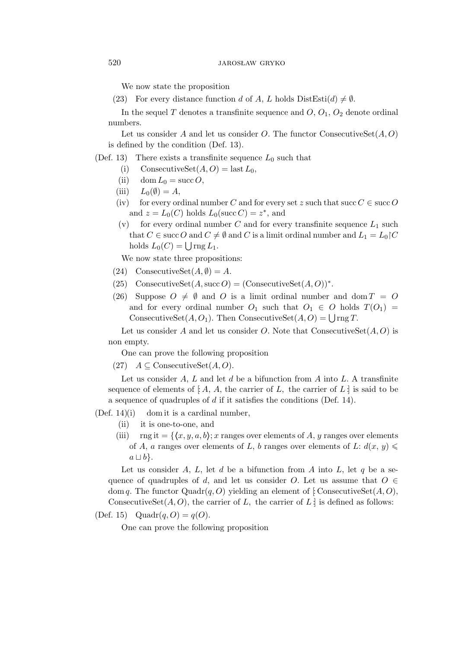We now state the proposition

(23) For every distance function d of A, L holds  $DistEsti(d) \neq \emptyset$ .

In the sequel T denotes a transfinite sequence and  $O, O_1, O_2$  denote ordinal numbers.

Let us consider A and let us consider O. The functor ConsecutiveSet $(A, O)$ is defined by the condition (Def. 13).

(Def. 13) There exists a transfinite sequence  $L_0$  such that

- (i) ConsecutiveSet $(A, O) =$  last  $L_0$ ,
- (ii) dom  $L_0 = \text{succ } O$ ,
- (iii)  $L_0(\emptyset) = A$ ,
- (iv) for every ordinal number C and for every set z such that succ  $C \in \text{succ } O$ and  $z = L_0(C)$  holds  $L_0(\text{succ } C) = z^*$ , and
- (v) for every ordinal number C and for every transfinite sequence  $L_1$  such that  $C \in \text{succ } O$  and  $C \neq \emptyset$  and  $C$  is a limit ordinal number and  $L_1 = L_0 \setminus C$ holds  $L_0(C) = \bigcup \text{rng } L_1$ .

We now state three propositions:

- (24) ConsecutiveSet $(A, \emptyset) = A$ .
- (25) ConsecutiveSet $(A, \text{succ } O) = (\text{ConsecutiveSet}(A, O))^*$ .
- (26) Suppose  $O \neq \emptyset$  and O is a limit ordinal number and dom  $T = O$ and for every ordinal number  $O_1$  such that  $O_1 \in O$  holds  $T(O_1)$  = ConsecutiveSet $(A, O_1)$ . Then ConsecutiveSet $(A, O) = \bigcup \text{rng } T$ .

Let us consider A and let us consider O. Note that ConsecutiveSet $(A, O)$  is non empty.

One can prove the following proposition

(27)  $A \subseteq \text{ConsecutiveSet}(A, O)$ .

Let us consider  $A, L$  and let  $d$  be a bifunction from  $A$  into  $L$ . A transfinite sequence of elements of  $[A, A,$  the carrier of L, the carrier of L is said to be a sequence of quadruples of d if it satisfies the conditions (Def. 14).

 $(Def. 14)(i)$  dom it is a cardinal number,

- (ii) it is one-to-one, and
- (iii) rng it =  $\{(x, y, a, b)$ ; x ranges over elements of A, y ranges over elements of A, a ranges over elements of L, b ranges over elements of L:  $d(x, y) \leq$  $a ⊔ b$ <sup>}</sup>.

Let us consider A, L, let d be a bifunction from A into L, let q be a sequence of quadruples of d, and let us consider O. Let us assume that  $O \in$ dom q. The functor  $Quadr(q, O)$  yielding an element of [ConsecutiveSet(A, O), ConsecutiveSet $(A, O)$ , the carrier of L, the carrier of L: is defined as follows:

(Def. 15) Quadr $(q, O) = q(O)$ .

One can prove the following proposition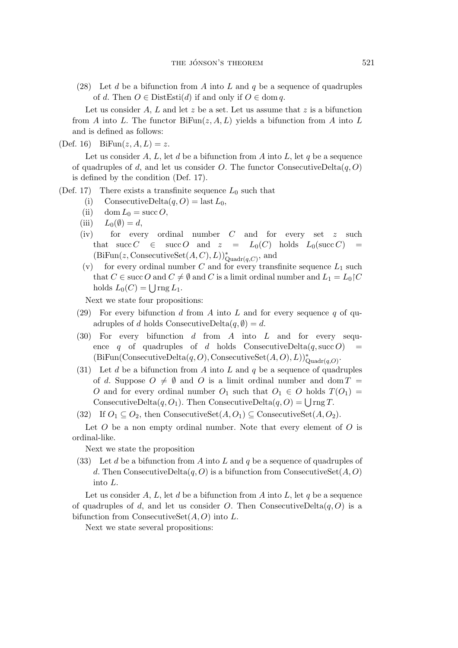(28) Let d be a bifunction from A into L and q be a sequence of quadruples of d. Then  $O \in \text{DistEst}(d)$  if and only if  $O \in \text{dom } q$ .

Let us consider  $A, L$  and let z be a set. Let us assume that z is a bifunction from A into L. The functor  $Bifun(z, A, L)$  yields a bifunction from A into L and is defined as follows:

(Def. 16) BiFun $(z, A, L) = z$ .

Let us consider A, L, let d be a bifunction from A into L, let q be a sequence of quadruples of d, and let us consider O. The functor ConsecutiveDelta $(q, O)$ is defined by the condition (Def. 17).

(Def. 17) There exists a transfinite sequence  $L_0$  such that

- (i) ConsecutiveDelta $(q, O) =$  last  $L_0$ ,
- (ii) dom  $L_0 = \text{succ } O$ ,
- (iii)  $L_0(\emptyset) = d$ ,
- (iv) for every ordinal number C and for every set z such that succ  $C \in succ O$  and  $z = L_0(C)$  holds  $L_0(\text{succ } C) =$  $(BiFun(z, ConsecutiveSet(A, C), L))_{Quadr(q, C)}^*$ , and
- (v) for every ordinal number C and for every transfinite sequence  $L_1$  such that  $C \in \text{succ } O$  and  $C \neq \emptyset$  and  $C$  is a limit ordinal number and  $L_1 = L_0 \setminus C$ holds  $L_0(C) = \bigcup \text{rng } L_1$ .

Next we state four propositions:

- (29) For every bifunction d from A into L and for every sequence q of quadruples of d holds ConsecutiveDelta $(q, \emptyset) = d$ .
- $(30)$  For every bifunction d from A into L and for every sequence q of quadruples of d holds ConsecutiveDelta $(q, succ O)$  $(BiFun(\text{ConsecutiveDelta}(q, O), \text{ConsecutiveSet}(A, O), L))_{\text{Quadr}(q, O)}^*$ .
- (31) Let d be a bifunction from A into L and  $q$  be a sequence of quadruples of d. Suppose  $O \neq \emptyset$  and O is a limit ordinal number and dom  $T =$ O and for every ordinal number  $O_1$  such that  $O_1 \in O$  holds  $T(O_1)$ ConsecutiveDelta $(q, O_1)$ . Then ConsecutiveDelta $(q, O) = \bigcup \text{rng } T$ .

(32) If  $O_1 \subseteq O_2$ , then ConsecutiveSet $(A, O_1) \subseteq$  ConsecutiveSet $(A, O_2)$ .

Let  $O$  be a non empty ordinal number. Note that every element of  $O$  is ordinal-like.

Next we state the proposition

(33) Let d be a bifunction from A into L and q be a sequence of quadruples of d. Then ConsecutiveDelta $(q, 0)$  is a bifunction from ConsecutiveSet $(A, 0)$ into L.

Let us consider A, L, let d be a bifunction from A into L, let q be a sequence of quadruples of d, and let us consider O. Then ConsecutiveDelta $(q, 0)$  is a bifunction from ConsecutiveSet $(A, O)$  into L.

Next we state several propositions: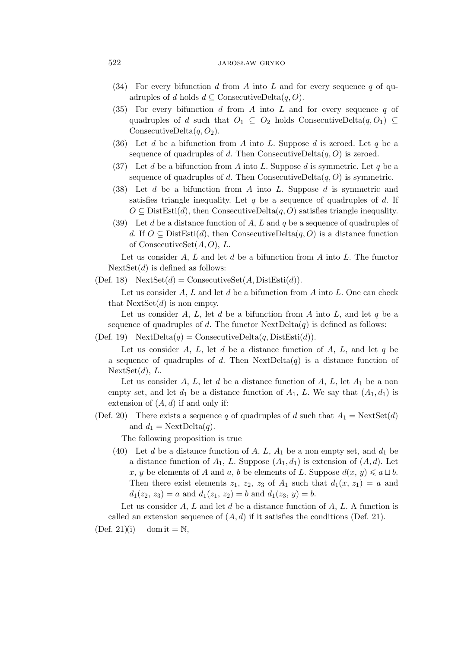## 522 JAROSŁAW GRYKO

- (34) For every bifunction d from A into L and for every sequence q of quadruples of d holds  $d \subseteq \text{ConsecutiveDelta}(q, O)$ .
- $(35)$  For every bifunction d from A into L and for every sequence q of quadruples of d such that  $O_1 \subseteq O_2$  holds ConsecutiveDelta $(q, O_1) \subseteq$ ConsecutiveDelta $(q, O_2)$ .
- (36) Let d be a bifunction from A into L. Suppose d is zeroed. Let q be a sequence of quadruples of d. Then ConsecutiveDelta $(q, O)$  is zeroed.
- (37) Let d be a bifunction from A into L. Suppose d is symmetric. Let q be a sequence of quadruples of d. Then ConsecutiveDelta $(q, 0)$  is symmetric.
- (38) Let  $d$  be a bifunction from  $A$  into  $L$ . Suppose  $d$  is symmetric and satisfies triangle inequality. Let q be a sequence of quadruples of  $d$ . If  $O \subseteq$  DistEsti(d), then ConsecutiveDelta(q, O) satisfies triangle inequality.
- (39) Let d be a distance function of A, L and q be a sequence of quadruples of d. If  $O \subseteq \text{DistEst}(d)$ , then ConsecutiveDelta $(q, O)$  is a distance function of ConsecutiveSet $(A, O), L$ .

Let us consider  $A, L$  and let  $d$  be a bifunction from  $A$  into  $L$ . The functor  $NextSet(d)$  is defined as follows:

(Def. 18)  $NextSet(d) = ConsecutiveSet(A, DistEstid)).$ 

Let us consider  $A, L$  and let  $d$  be a bifunction from  $A$  into  $L$ . One can check that  $NextSet(d)$  is non empty.

Let us consider A, L, let d be a bifunction from A into L, and let  $q$  be a sequence of quadruples of d. The functor  $NextDelta(q)$  is defined as follows:

(Def. 19)  $NextDelta(q) = ConsecutiveDelta(q, DistEstid)).$ 

Let us consider A, L, let d be a distance function of A, L, and let  $q$  be a sequence of quadruples of d. Then  $NextDelta(q)$  is a distance function of  $NextSet(d), L.$ 

Let us consider A, L, let d be a distance function of A, L, let  $A_1$  be a non empty set, and let  $d_1$  be a distance function of  $A_1$ , L. We say that  $(A_1, d_1)$  is extension of  $(A, d)$  if and only if:

(Def. 20) There exists a sequence q of quadruples of d such that  $A_1 = \text{NextSet}(d)$ and  $d_1 = \text{NextDelta}(q)$ .

The following proposition is true

(40) Let d be a distance function of A, L,  $A_1$  be a non empty set, and  $d_1$  be a distance function of  $A_1$ , L. Suppose  $(A_1, d_1)$  is extension of  $(A, d)$ . Let x, y be elements of A and a, b be elements of L. Suppose  $d(x, y) \leq a \sqcup b$ . Then there exist elements  $z_1$ ,  $z_2$ ,  $z_3$  of  $A_1$  such that  $d_1(x, z_1) = a$  and  $d_1(z_2, z_3) = a$  and  $d_1(z_1, z_2) = b$  and  $d_1(z_3, y) = b$ .

Let us consider  $A, L$  and let  $d$  be a distance function of  $A, L$ . A function is called an extension sequence of  $(A, d)$  if it satisfies the conditions (Def. 21).

 $(Def. 21)(i)$  dom it = N,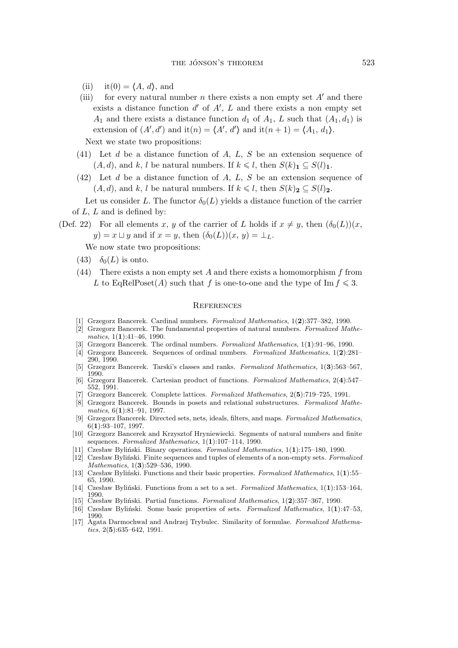- (ii) it(0) =  $\langle A, d \rangle$ , and
- (iii) for every natural number *n* there exists a non empty set  $A'$  and there exists a distance function  $d'$  of  $A'$ ,  $L$  and there exists a non empty set  $A_1$  and there exists a distance function  $d_1$  of  $A_1$ , L such that  $(A_1, d_1)$  is extension of  $(A', d')$  and it $(n) = \langle A', d' \rangle$  and it $(n + 1) = \langle A_1, d_1 \rangle$ .

Next we state two propositions:

- (41) Let d be a distance function of A, L, S be an extension sequence of  $(A, d)$ , and k, l be natural numbers. If  $k \leq l$ , then  $S(k)$ <sub>1</sub>  $\subseteq S(l)$ <sub>1</sub>.
- (42) Let d be a distance function of A, L, S be an extension sequence of  $(A, d)$ , and k, l be natural numbers. If  $k \leq l$ , then  $S(k)_2 \subseteq S(l)_2$ .

Let us consider L. The functor  $\delta_0(L)$  yields a distance function of the carrier of  $L, L$  and is defined by:

(Def. 22) For all elements x, y of the carrier of L holds if  $x \neq y$ , then  $(\delta_0(L))(x)$ ,  $y$ ) =  $x \sqcup y$  and if  $x = y$ , then  $(\delta_0(L))(x, y) = \bot_L$ .

We now state two propositions:

- (43)  $\delta_0(L)$  is onto.
- (44) There exists a non empty set A and there exists a homomorphism  $f$  from L to EqRelPoset(A) such that f is one-to-one and the type of Im  $f \leq 3$ .

#### **REFERENCES**

- [1] Grzegorz Bancerek. Cardinal numbers. *Formalized Mathematics*, 1(**2**):377–382, 1990.
- [2] Grzegorz Bancerek. The fundamental properties of natural numbers. *Formalized Mathematics*, 1(**1**):41–46, 1990.
- [3] Grzegorz Bancerek. The ordinal numbers. *Formalized Mathematics*, 1(**1**):91–96, 1990.
- [4] Grzegorz Bancerek. Sequences of ordinal numbers. *Formalized Mathematics*, 1(**2**):281– 290, 1990.
- [5] Grzegorz Bancerek. Tarski's classes and ranks. *Formalized Mathematics*, 1(**3**):563–567, 1990.
- [6] Grzegorz Bancerek. Cartesian product of functions. *Formalized Mathematics*, 2(**4**):547– 552, 1991.
- [7] Grzegorz Bancerek. Complete lattices. *Formalized Mathematics*, 2(**5**):719–725, 1991.
- [8] Grzegorz Bancerek. Bounds in posets and relational substructures. *Formalized Mathematics*, 6(**1**):81–91, 1997.
- [9] Grzegorz Bancerek. Directed sets, nets, ideals, filters, and maps. *Formalized Mathematics*, 6(**1**):93–107, 1997.
- [10] Grzegorz Bancerek and Krzysztof Hryniewiecki. Segments of natural numbers and finite sequences. *Formalized Mathematics*, 1(**1**):107–114, 1990.
- [11] Czesław Byliński. Binary operations. *Formalized Mathematics*, 1(**1**):175–180, 1990.
- [12] Czesław Byliński. Finite sequences and tuples of elements of a non-empty sets. *Formalized Mathematics*, 1(**3**):529–536, 1990.
- [13] Czesław Byliński. Functions and their basic properties. *Formalized Mathematics*, 1(**1**):55– 65, 1990.
- [14] Czesław Byliński. Functions from a set to a set. *Formalized Mathematics*, 1(**1**):153–164, 1990.
- [15] Czesław Byliński. Partial functions. *Formalized Mathematics*, 1(**2**):357–367, 1990.
- [16] Czesław Byliński. Some basic properties of sets. *Formalized Mathematics*, 1(**1**):47–53, 1990.
- [17] Agata Darmochwał and Andrzej Trybulec. Similarity of formulae. *Formalized Mathematics*, 2(**5**):635–642, 1991.